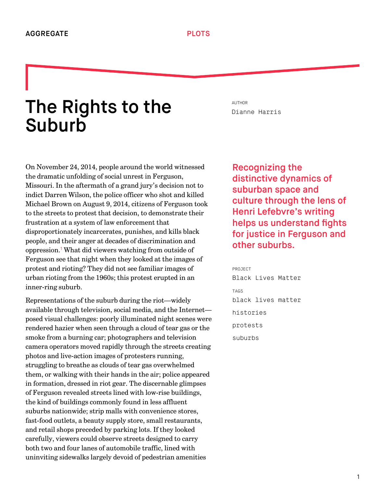# The Rights to the **Suburb**

On November 24, 2014, people around the world witnessed the dramatic unfolding of social unrest in Ferguson, Missouri. In the aftermath of a grand jury's decision not to indict Darren Wilson, the police officer who shot and killed Michael Brown on August 9, 2014, citizens of Ferguson took to the streets to protest that decision, to demonstrate their frustration at a system of law enforcement that disproportionately incarcerates, punishes, and kills black people, and their anger at decades of discrimination and oppression.<sup>1</sup> What did viewers watching from outside of Ferguson see that night when they looked at the images of protest and rioting? They did not see familiar images of urban rioting from the 1960s; this protest erupted in an inner-ring suburb.

<span id="page-0-0"></span>Representations of the suburb during the riot—widely available through television, social media, and the Internet posed visual challenges: poorly illuminated night scenes were rendered hazier when seen through a cloud of tear gas or the smoke from a burning car; photographers and television camera operators moved rapidly through the streets creating photos and live-action images of protesters running, struggling to breathe as clouds of tear gas overwhelmed them, or walking with their hands in the air; police appeared in formation, dressed in riot gear. The discernable glimpses of Ferguson revealed streets lined with low-rise buildings, the kind of buildings commonly found in less affluent suburbs nationwide; strip malls with convenience stores, fast-food outlets, a beauty supply store, small restaurants, and retail shops preceded by parking lots. If they looked carefully, viewers could observe streets designed to carry both two and four lanes of automobile traffic, lined with uninviting sidewalks largely devoid of pedestrian amenities

AUTHOR [Dianne Harris](http://we-aggregate.org/people/dianne-harris)

Recognizing the distinctive dynamics of suburban space and culture through the lens of Henri Lefebvre's writing helps us understand fights for justice in Ferguson and other suburbs.

PROJECT [Black Lives Matter](http://we-aggregate.org/project/black-lives-matter) TAGS [black lives matter](http://we-aggregate.org/tag/black-lives-matter) [histories](http://we-aggregate.org/tag/histories) [protests](http://we-aggregate.org/tag/protests) [suburbs](http://we-aggregate.org/tag/suburbs)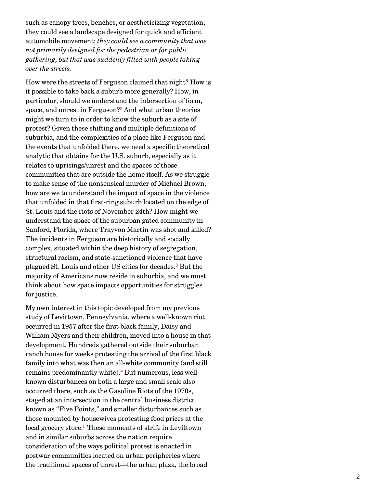such as canopy trees, benches, or aestheticizing vegetation; they could see a landscape designed for quick and efficient automobile movement; *they could see a community that was not primarily designed for the pedestrian or for public gathering, but that was suddenly filled with people taking over the streets*.

<span id="page-1-0"></span>How were the streets of Ferguson claimed that night? How is it possible to take back a suburb more generally? How, in particular, should we understand the intersection of form, space, and unrest in Ferguson?<sup>[2](#page-9-1)</sup> And what urban theories might we turn to in order to know the suburb as a site of protest? Given these shifting and multiple definitions of suburbia, and the complexities of a place like Ferguson and the events that unfolded there, we need a specific theoretical analytic that obtains for the U.S. suburb, especially as it relates to uprisings/unrest and the spaces of those communities that are outside the home itself. As we struggle to make sense of the nonsensical murder of Michael Brown, how are we to understand the impact of space in the violence that unfolded in that first-ring suburb located on the edge of St. Louis and the riots of November 24th? How might we understand the space of the suburban gated community in Sanford, Florida, where Trayvon Martin was shot and killed? The incidents in Ferguson are historically and socially complex, situated within the deep history of segregation, structural racism, and state-sanctioned violence that have plagued St. Louis and other US cities for decades.<sup>[3](#page-9-2)</sup> But the majority of Americans now reside in suburbia, and we must think about how space impacts opportunities for struggles for justice.

<span id="page-1-3"></span><span id="page-1-2"></span><span id="page-1-1"></span>My own interest in this topic developed from my previous study of Levittown, Pennsylvania, where a well-known riot occurred in 1957 after the first black family, Daisy and William Myers and their children, moved into a house in that development. Hundreds gathered outside their suburban ranch house for weeks protesting the arrival of the first black family into what was then an all-white community (and still remains predominantly white).<sup>[4](#page-9-3)</sup> But numerous, less wellknown disturbances on both a large and small scale also occurred there, such as the Gasoline Riots of the 1970s, staged at an intersection in the central business district known as "Five Points," and smaller disturbances such as those mounted by housewives protesting food prices at the local grocery store.<sup>[5](#page-9-4)</sup> These moments of strife in Levittown and in similar suburbs across the nation require consideration of the ways political protest is enacted in postwar communities located on urban peripheries where the traditional spaces of unrest—the urban plaza, the broad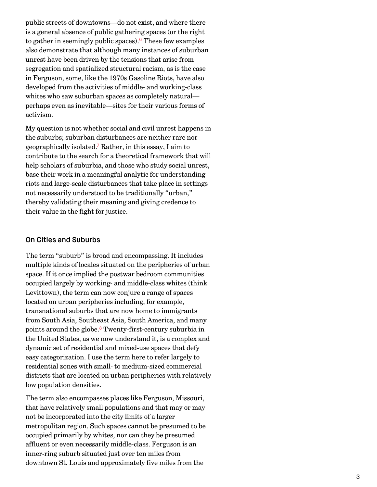<span id="page-2-0"></span>public streets of downtowns—do not exist, and where there is a general absence of public gathering spaces (or the right to gather in seemingly public spaces).<sup>[6](#page-9-5)</sup> These few examples also demonstrate that although many instances of suburban unrest have been driven by the tensions that arise from segregation and spatialized structural racism, as is the case in Ferguson, some, like the 1970s Gasoline Riots, have also developed from the activities of middle- and working-class whites who saw suburban spaces as completely natural perhaps even as inevitable—sites for their various forms of activism.

<span id="page-2-1"></span>My question is not whether social and civil unrest happens in the suburbs; suburban disturbances are neither rare nor geographically isolated.<sup>[7](#page-9-6)</sup> Rather, in this essay, I aim to contribute to the search for a theoretical framework that will help scholars of suburbia, and those who study social unrest, base their work in a meaningful analytic for understanding riots and large-scale disturbances that take place in settings not necessarily understood to be traditionally "urban," thereby validating their meaning and giving credence to their value in the fight for justice.

#### On Cities and Suburbs

The term "suburb" is broad and encompassing. It includes multiple kinds of locales situated on the peripheries of urban space. If it once implied the postwar bedroom communities occupied largely by working- and middle-class whites (think Levittown), the term can now conjure a range of spaces located on urban peripheries including, for example, transnational suburbs that are now home to immigrants from South Asia, Southeast Asia, South America, and many points around the globe.<sup>[8](#page-10-0)</sup> Twenty-first-century suburbia in the United States, as we now understand it, is a complex and dynamic set of residential and mixed-use spaces that defy easy categorization. I use the term here to refer largely to residential zones with small- to medium-sized commercial districts that are located on urban peripheries with relatively low population densities.

<span id="page-2-2"></span>The term also encompasses places like Ferguson, Missouri, that have relatively small populations and that may or may not be incorporated into the city limits of a larger metropolitan region. Such spaces cannot be presumed to be occupied primarily by whites, nor can they be presumed affluent or even necessarily middle-class. Ferguson is an inner-ring suburb situated just over ten miles from downtown St. Louis and approximately five miles from the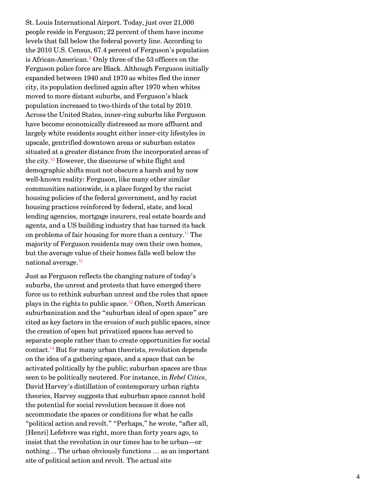<span id="page-3-0"></span>St. Louis International Airport. Today, just over 21,000 people reside in Ferguson; 22 percent of them have income levels that fall below the federal poverty line. According to the 2010 U.S. Census, 67.4 percent of Ferguson's population is African-American.<sup>[9](#page-10-1)</sup> Only three of the 53 officers on the Ferguson police force are Black. Although Ferguson initially expanded between 1940 and 1970 as whites fled the inner city, its population declined again after 1970 when whites moved to more distant suburbs, and Ferguson's black population increased to two-thirds of the total by 2010. Across the United States, inner-ring suburbs like Ferguson have become economically distressed as more affluent and largely white residents sought either inner-city lifestyles in upscale, gentrified downtown areas or suburban estates situated at a greater distance from the incorporated areas of the city.<sup>[10](#page-10-2)</sup> However, the discourse of white flight and demographic shifts must not obscure a harsh and by now well-known reality: Ferguson, like many other similar communities nationwide, is a place forged by the racist housing policies of the federal government, and by racist housing practices reinforced by federal, state, and local lending agencies, mortgage insurers, real estate boards and agents, and a US building industry that has turned its back on problems of fair housing for more than a century.<sup>[11](#page-10-3)</sup> The majority of Ferguson residents may own their own homes, but the average value of their homes falls well below the national average. [12](#page-10-4)

<span id="page-3-5"></span><span id="page-3-4"></span><span id="page-3-3"></span><span id="page-3-2"></span><span id="page-3-1"></span>Just as Ferguson reflects the changing nature of today's suburbs, the unrest and protests that have emerged there force us to rethink suburban unrest and the roles that space plays in the rights to public space.<sup>[13](#page-10-5)</sup> Often, North American suburbanization and the "suburban ideal of open space" are cited as key factors in the erosion of such public spaces, since the creation of open but privatized spaces has served to separate people rather than to create opportunities for social contact.<sup>[14](#page-11-0)</sup> But for many urban theorists, revolution depends on the idea of a gathering space, and a space that can be activated politically by the public; suburban spaces are thus seen to be politically neutered. For instance, in *Rebel Cities*, David Harvey's distillation of contemporary urban rights theories, Harvey suggests that suburban space cannot hold the potential for social revolution because it does not accommodate the spaces or conditions for what he calls "political action and revolt." "Perhaps," he wrote, "after all, [Henri] Lefebvre was right, more than forty years ago, to insist that the revolution in our times has to be urban—or nothing… The urban obviously functions … as an important site of political action and revolt. The actual site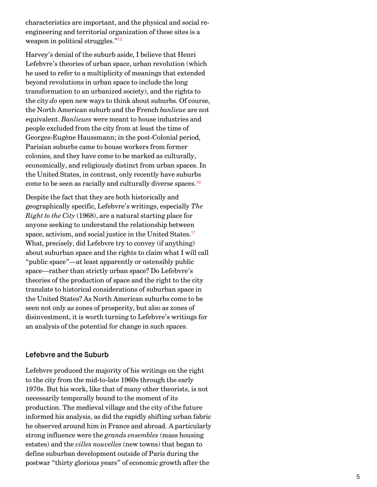characteristics are important, and the physical and social reengineering and territorial organization of these sites is a weapon in political struggles." [15](#page-11-1)

<span id="page-4-0"></span>Harvey's denial of the suburb aside, I believe that Henri Lefebvre's theories of urban space, urban revolution (which he used to refer to a multiplicity of meanings that extended beyond revolutions in urban space to include the long transformation to an urbanized society), and the rights to the city *do* open new ways to think about suburbs. Of course, the North American suburb and the French *banlieue* are not equivalent. *Banlieues* were meant to house industries and people excluded from the city from at least the time of Georges-Eugène Haussmann; in the post-Colonial period, Parisian suburbs came to house workers from former colonies, and they have come to be marked as culturally, economically, and religiously distinct from urban spaces. In the United States, in contrast, only recently have suburbs come to be seen as racially and culturally diverse spaces. [16](#page-11-2)

<span id="page-4-2"></span><span id="page-4-1"></span>Despite the fact that they are both historically and geographically specific, Lefebvre's writings, especially *The Right to the City* (1968), are a natural starting place for anyone seeking to understand the relationship between space, activism, and social justice in the United States. [17](#page-11-3) What, precisely, did Lefebvre try to convey (if anything) about suburban space and the rights to claim what I will call "public space"—at least apparently or ostensibly public space—rather than strictly urban space? Do Lefebvre's theories of the production of space and the right to the city translate to historical considerations of suburban space in the United States? As North American suburbs come to be seen not only as zones of prosperity, but also as zones of disinvestment, it is worth turning to Lefebvre's writings for an analysis of the potential for change in such spaces.

## Lefebvre and the Suburb

Lefebvre produced the majority of his writings on the right to the city from the mid-to-late 1960s through the early 1970s. But his work, like that of many other theorists, is not necessarily temporally bound to the moment of its production. The medieval village and the city of the future informed his analysis, as did the rapidly shifting urban fabric he observed around him in France and abroad. A particularly strong influence were the *grands ensembles* (mass housing estates) and the *villes nouvelles* (new towns) that began to define suburban development outside of Paris during the postwar "thirty glorious years" of economic growth after the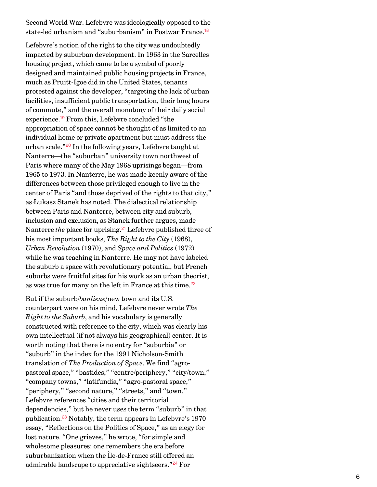<span id="page-5-0"></span>Second World War. Lefebvre was ideologically opposed to the state-led urbanism and "suburbanism" in Postwar France. [18](#page-12-0)

<span id="page-5-2"></span><span id="page-5-1"></span>Lefebvre's notion of the right to the city was undoubtedly impacted by suburban development. In 1963 in the Sarcelles housing project, which came to be a symbol of poorly designed and maintained public housing projects in France, much as Pruitt-Igoe did in the United States, tenants protested against the developer, "targeting the lack of urban facilities, insufficient public transportation, their long hours of commute," and the overall monotony of their daily social experience.<sup>[19](#page-12-1)</sup> From this, Lefebvre concluded "the appropriation of space cannot be thought of as limited to an individual home or private apartment but must address the urban scale."<sup>[20](#page-12-2)</sup> In the following years, Lefebvre taught at Nanterre—the "suburban" university town northwest of Paris where many of the May 1968 uprisings began—from 1965 to 1973. In Nanterre, he was made keenly aware of the differences between those privileged enough to live in the center of Paris "and those deprived of the rights to that city," as Łukasz Stanek has noted. The dialectical relationship between Paris and Nanterre, between city and suburb, inclusion and exclusion, as Stanek further argues, made Nanterre *the* place for uprising.<sup>[21](#page-12-3)</sup> Lefebvre published three of his most important books, *The Right to the City* (1968), *Urban Revolution* (1970), and *Space and Politics* (1972) while he was teaching in Nanterre. He may not have labeled the suburb a space with revolutionary potential, but French suburbs were fruitful sites for his work as an urban theorist, as was true for many on the left in France at this time. [22](#page-12-4)

<span id="page-5-6"></span><span id="page-5-5"></span><span id="page-5-4"></span><span id="page-5-3"></span>But if the suburb/*banlieue*/new town and its U.S. counterpart were on his mind, Lefebvre never wrote *The Right to the Suburb*, and his vocabulary is generally constructed with reference to the city, which was clearly his own intellectual (if not always his geographical) center. It is worth noting that there is no entry for "suburbia" or "suburb" in the index for the 1991 Nicholson-Smith translation of *The Production of Space*. We find "agropastoral space," "bastides," "centre/periphery," "city/town," "company towns," "latifundia," "agro-pastoral space," "periphery," "second nature," "streets," and "town." Lefebvre references "cities and their territorial dependencies," but he never uses the term "suburb" in that publication.<sup>[23](#page-12-5)</sup> Notably, the term appears in Lefebvre's 1970 essay, "Reflections on the Politics of Space," as an elegy for lost nature. "One grieves," he wrote, "for simple and wholesome pleasures: one remembers the era before suburbanization when the Île-de-France still offered an admirable landscape to appreciative sightseers."<sup>[24](#page-12-6)</sup> For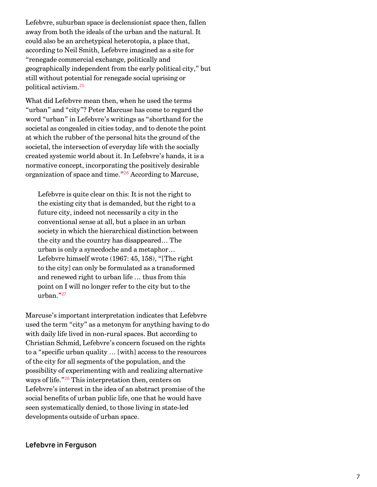Lefebvre, suburban space is declensionist space then, fallen away from both the ideals of the urban and the natural. It could also be an archetypical heterotopia, a place that, according to Neil Smith, Lefebvre imagined as a site for "renegade commercial exchange, politically and geographically independent from the early political city," but still without potential for renegade social uprising or political activism. [25](#page-12-7)

<span id="page-6-0"></span>What did Lefebvre mean then, when he used the terms "urban" and "city"? Peter Marcuse has come to regard the word "urban" in Lefebvre's writings as "shorthand for the societal as congealed in cities today, and to denote the point at which the rubber of the personal hits the ground of the societal, the intersection of everyday life with the socially created systemic world about it. In Lefebvre's hands, it is a normative concept, incorporating the positively desirable organization of space and time."<sup>[26](#page-12-8)</sup> According to Marcuse,

<span id="page-6-1"></span>Lefebvre is quite clear on this: It is not the right to the existing city that is demanded, but the right to a future city, indeed not necessarily a city in the conventional sense at all, but a place in an urban society in which the hierarchical distinction between the city and the country has disappeared… The urban is only a synecdoche and a metaphor… Lefebvre himself wrote (1967: 45, 158), "[The right to the city] can only be formulated as a transformed and renewed right to urban life … thus from this point on I will no longer refer to the city but to the urban." [27](#page-12-9)

<span id="page-6-3"></span><span id="page-6-2"></span>Marcuse's important interpretation indicates that Lefebvre used the term "city" as a metonym for anything having to do with daily life lived in non-rural spaces. But according to Christian Schmid, Lefebvre's concern focused on the rights to a "specific urban quality … [with] access to the resources of the city for all segments of the population, and the possibility of experimenting with and realizing alternative ways of life."<sup>[28](#page-12-10)</sup> This interpretation then, centers on Lefebvre's interest in the idea of an abstract promise of the social benefits of urban public life, one that he would have seen systematically denied, to those living in state-led developments outside of urban space.

### Lefebvre in Ferguson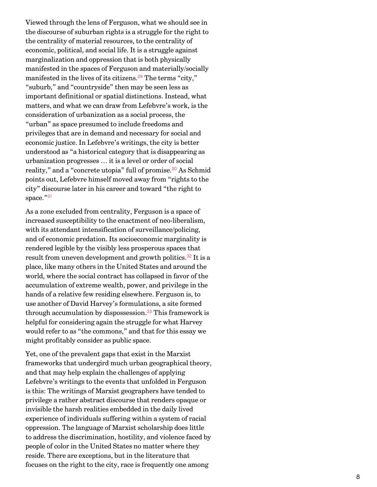<span id="page-7-0"></span>Viewed through the lens of Ferguson, what we should see in the discourse of suburban rights is a struggle for the right to the centrality of material resources, to the centrality of economic, political, and social life. It is a struggle against marginalization and oppression that is both physically manifested in the spaces of Ferguson and materially/socially manifested in the lives of its citizens.<sup>[29](#page-12-11)</sup> The terms "city," "suburb," and "countryside" then may be seen less as important definitional or spatial distinctions. Instead, what matters, and what we can draw from Lefebvre's work, is the consideration of urbanization as a social process, the "urban" as space presumed to include freedoms and privileges that are in demand and necessary for social and economic justice. In Lefebvre's writings, the city is better understood as "a historical category that is disappearing as urbanization progresses … it is a level or order of social reality," and a "concrete utopia" full of promise.<sup>[30](#page-12-12)</sup> As Schmid points out, Lefebvre himself moved away from "rights to the city" discourse later in his career and toward "the right to space."<sup>[31](#page-12-13)</sup>

<span id="page-7-3"></span><span id="page-7-2"></span><span id="page-7-1"></span>As a zone excluded from centrality, Ferguson is a space of increased susceptibility to the enactment of neo-liberalism, with its attendant intensification of surveillance/policing, and of economic predation. Its socioeconomic marginality is rendered legible by the visibly less prosperous spaces that result from uneven development and growth politics.<sup>[32](#page-12-14)</sup> It is a place, like many others in the United States and around the world, where the social contract has collapsed in favor of the accumulation of extreme wealth, power, and privilege in the hands of a relative few residing elsewhere. Ferguson is, to use another of David Harvey's formulations, a site formed through accumulation by dispossession.<sup>[33](#page-12-15)</sup> This framework is helpful for considering again the struggle for what Harvey would refer to as "the commons," and that for this essay we might profitably consider as public space.

<span id="page-7-4"></span>Yet, one of the prevalent gaps that exist in the Marxist frameworks that undergird much urban geographical theory, and that may help explain the challenges of applying Lefebvre's writings to the events that unfolded in Ferguson is this: The writings of Marxist geographers have tended to privilege a rather abstract discourse that renders opaque or invisible the harsh realities embedded in the daily lived experience of individuals suffering within a system of racial oppression. The language of Marxist scholarship does little to address the discrimination, hostility, and violence faced by people of color in the United States no matter where they reside. There are exceptions, but in the literature that focuses on the right to the city, race is frequently one among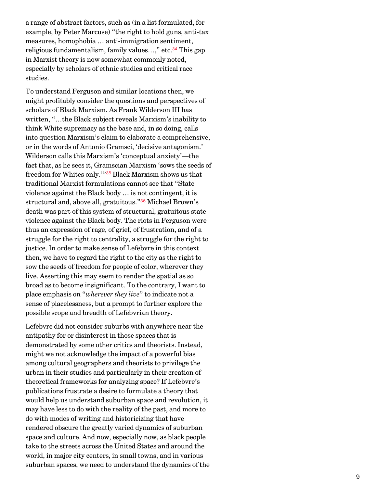<span id="page-8-0"></span>a range of abstract factors, such as (in a list formulated, for example, by Peter Marcuse) "the right to hold guns, anti-tax measures, homophobia … anti-immigration sentiment, religious fundamentalism, family values…," etc.<sup>[34](#page-12-16)</sup> This gap in Marxist theory is now somewhat commonly noted, especially by scholars of ethnic studies and critical race studies.

<span id="page-8-2"></span><span id="page-8-1"></span>To understand Ferguson and similar locations then, we might profitably consider the questions and perspectives of scholars of Black Marxism. As Frank Wilderson III has written, "…the Black subject reveals Marxism's inability to think White supremacy as the base and, in so doing, calls into question Marxism's claim to elaborate a comprehensive, or in the words of Antonio Gramsci, 'decisive antagonism.' Wilderson calls this Marxism's 'conceptual anxiety'—the fact that, as he sees it, Gramscian Marxism 'sows the seeds of freedom for Whites only.'"<sup>[35](#page-12-17)</sup> Black Marxism shows us that traditional Marxist formulations cannot see that "State violence against the Black body … is not contingent, it is structural and, above all, gratuitous." $^{36}$  $^{36}$  $^{36}$  Michael Brown's death was part of this system of structural, gratuitous state violence against the Black body. The riots in Ferguson were thus an expression of rage, of grief, of frustration, and of a struggle for the right to centrality, a struggle for the right to justice. In order to make sense of Lefebvre in this context then, we have to regard the right to the city as the right to sow the seeds of freedom for people of color, wherever they live. Asserting this may seem to render the spatial as so broad as to become insignificant. To the contrary, I want to place emphasis on "*wherever they live*" to indicate not a sense of placelessness, but a prompt to further explore the possible scope and breadth of Lefebvrian theory.

Lefebvre did not consider suburbs with anywhere near the antipathy for or disinterest in those spaces that is demonstrated by some other critics and theorists. Instead, might we not acknowledge the impact of a powerful bias among cultural geographers and theorists to privilege the urban in their studies and particularly in their creation of theoretical frameworks for analyzing space? If Lefebvre's publications frustrate a desire to formulate a theory that would help us understand suburban space and revolution, it may have less to do with the reality of the past, and more to do with modes of writing and historicizing that have rendered obscure the greatly varied dynamics of suburban space and culture. And now, especially now, as black people take to the streets across the United States and around the world, in major city centers, in small towns, and in various suburban spaces, we need to understand the dynamics of the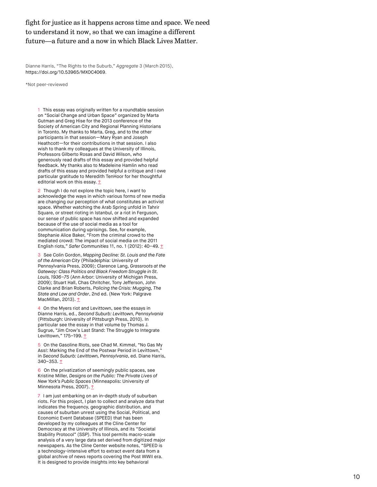## fight for justice as it happens across time and space. We need to understand it now, so that we can imagine a different future—a future and a now in which Black Lives Matter.

Dianne Harris, "The Rights to the Suburb," Aggregate 3 (March 2015), [https://doi.org/10.53965/MXOC4069.](https://doi.org/10.53965/MXOC4069)

\*Not peer-reviewed

<span id="page-9-0"></span>1 This essay was originally written for a roundtable session on "Social Change and Urban Space" organized by Marta Gutman and Greg Hise for the 2013 conference of the Society of American City and Regional Planning Historians in Toronto. My thanks to Marta, Greg, and to the other participants in that session—Mary Ryan and Joseph Heathcott—for their contributions in that session. I also wish to thank my colleagues at the University of Illinois, Professors Gilberto Rosas and David Wilson, who generously read drafts of this essay and provided helpful feedback. My thanks also to Madeleine Hamlin who read drafts of this essay and provided helpful a critique and I owe particular gratitude to Meredith TenHoor for her thoughtful editorial work on this essay.  $\uparrow$ 

<span id="page-9-1"></span>2 Though I do not explore the topic here, I want to acknowledge the ways in which various forms of new media are changing our perception of what constitutes an activist space. Whether watching the Arab Spring unfold in Tahrir Square, or street rioting in Istanbul, or a riot in Ferguson, our sense of public space has now shifted and expanded because of the use of social media as a tool for communication during uprisings. See, for example, Stephanie Alice Baker, "From the criminal crowd to the mediated crowd: The impact of social media on the 2011 English riots," Safer Communities 11, no. 1 (2012): 40-49.  $\uparrow$ 

<span id="page-9-2"></span>3 See Colin Gordon, Mapping Decline: St. Louis and the Fate of the American City (Philadelphia: University of Pennsylvania Press, 2009); Clarence Lang, Grassroots at the Gateway: Class Politics and Black Freedom Struggle in St. Louis, 1936–75 (Ann Arbor: University of Michigan Press, 2009); Stuart Hall, Chas Chritcher, Tony Jefferson, John Clarke and Brian Roberts, Policing the Crisis: Mugging, The State and Law and Order, 2nd ed. (New York: Palgrave MacMillan, 2013). [↑](#page-1-1)

<span id="page-9-3"></span>4 On the Myers riot and Levittown, see the essays in Dianne Harris, ed., Second Suburb: Levittown, Pennsylvania (Pittsburgh: University of Pittsburgh Press, 2010). In particular see the essay in that volume by Thomas J. Sugrue, "Jim Crow's Last Stand: The Struggle to Integrate Levittown," 175-199. [↑](#page-1-2)

<span id="page-9-4"></span>5 On the Gasoline Riots, see Chad M. Kimmel, "No Gas My Ass!: Marking the End of the Postwar Period in Levittown," in Second Suburb: Levittown, Pennsylvania, ed. Diane Harris, 340–353. [↑](#page-1-3)

<span id="page-9-5"></span>6 On the privatization of seemingly public spaces, see Kristine Miller, Designs on the Public: The Private Lives of New York's Public Spaces (Minneapolis: University of Minnesota Press, 2007). 1

<span id="page-9-6"></span>7 I am just embarking on an in-depth study of suburban riots. For this project, I plan to collect and analyze data that indicates the frequency, geographic distribution, and causes of suburban unrest using the Social, Political, and Economic Event Database (SPEED) that has been developed by my colleagues at the Cline Center for Democracy at the University of Illinois, and its "Societal Stability Protocol" (SSP). This tool permits macro-scale analysis of a very large data set derived from digitized major newspapers. As the Cline Center website notes, "SPEED is a technology-intensive effort to extract event data from a global archive of news reports covering the Post WWII era. It is designed to provide insights into key behavioral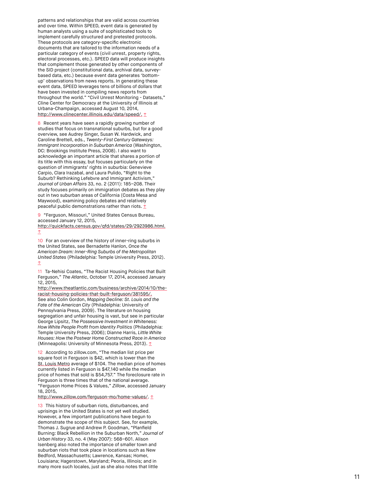patterns and relationships that are valid across countries and over time. Within SPEED, event data is generated by human analysts using a suite of sophisticated tools to implement carefully structured and pretested protocols. These protocols are category-specific electronic documents that are tailored to the information needs of a particular category of events (civil unrest, property rights, electoral processes, etc.). SPEED data will produce insights that complement those generated by other components of the SID project (constitutional data, archival data, surveybased data, etc.) because event data generates 'bottomup' observations from news reports. In generating these event data, SPEED leverages tens of billions of dollars that have been invested in compiling news reports from throughout the world." "Civil Unrest Monitoring - Datasets," Cline Center for Democracy at the University of Illinois at Urbana-Champaign, accessed August 10, 2014, [http://www.clinecenter.illinois.edu/data/speed/.](http://www.clinecenter.illinois.edu/data/speed/) [↑](#page-2-1)

<span id="page-10-0"></span>8 Recent years have seen a rapidly growing number of studies that focus on transnational suburbs, but for a good overview, see Audrey Singer, Susan W. Hardwick, and Caroline Brettell, eds., Twenty-First Century Gateways: Immigrant Incorporation in Suburban America (Washington, DC: Brookings Institute Press, 2008). I also want to acknowledge an important article that shares a portion of its title with this essay, but focuses particularly on the question of immigrants' rights in suburbia: Genevieve Carpio, Clara Irazabal, and Laura Pulido, "Right to the Suburb? Rethinking Lefebvre and Immigrant Activism, Journal of Urban Affairs 33, no. 2 (2011): 185–208. Their study focuses primarily on immigration debates as they play out in two suburban areas of California (Costa Mesa and Maywood), examining policy debates and relatively peaceful public demonstrations rather than riots.  $**t**$ </u>

<span id="page-10-1"></span>9 "Ferguson, Missouri," United States Census Bureau, accessed January 12, 2015,

[http://quickfacts.census.gov/qfd/states/29/2923986.html.](http://quickfacts.census.gov/qfd/states/29/2923986.html)  $\hat{I}$ 

<span id="page-10-2"></span>10 For an overview of the history of inner-ring suburbs in the United States, see Bernadette Hanlon, Once the American Dream: Inner-Ring Suburbs of the Metropolitan United States (Philadelphia: Temple University Press, 2012). [↑](#page-3-1)

<span id="page-10-3"></span>11 Ta-Nehisi Coates, "The Racist Housing Policies that Built Ferguson," The Atlantic, October 17, 2014, accessed January 12, 2015,

[http://www.theatlantic.com/business/archive/2014/10/the](http://www.theatlantic.com/business/archive/2014/10/the-racist-housing-policies-that-built-ferguson/381595/)racist-housing-policies-that-built-ferguson/381595/. See also Colin Gordon, Mapping Decline: St. Louis and the Fate of the American City (Philadelphia: University of Pennsylvania Press, 2009). The literature on housing segregation and unfair housing is vast, but see in particular George Lipsitz, The Possessive Investment in Whiteness: How White People Profit from Identity Politics (Philadelphia: Temple University Press, 2006); Dianne Harris, Little White Houses: How the Postwar Home Constructed Race in America (Minneapolis: University of Minnesota Press, 2013). 1

<span id="page-10-4"></span>12 According to zillow.com, "The median list price per square foot in Ferguson is \$42, which is lower than the [St. Louis Metro](http://www.zillow.com/st-louis-metro-mo_r395121/home-values/) average of \$104. The median price of homes currently listed in Ferguson is \$47,140 while the median price of homes that sold is \$54,757." The foreclosure rate in Ferguson is three times that of the national average. "Ferguson Home Prices & Values," Zillow, accessed January 18, 2015,

<http://www.zillow.com/ferguson-mo/home-values/>. [↑](#page-3-3)

<span id="page-10-5"></span>13 This history of suburban riots, disturbances, and uprisings in the United States is not yet well studied. However, a few important publications have begun to demonstrate the scope of this subject. See, for example, Thomas J. Sugrue and Andrew P. Goodman, "Planfield Burning: Black Rebellion in the Suburban North," Journal of Urban History 33, no. 4 (May 2007): 568–601. Alison Isenberg also noted the importance of smaller town and suburban riots that took place in locations such as New Bedford, Massachusetts; Lawrence, Kansas; Homer, Louisiana; Hagerstown, Maryland; Peoria, Illinois; and in many more such locales, just as she also notes that little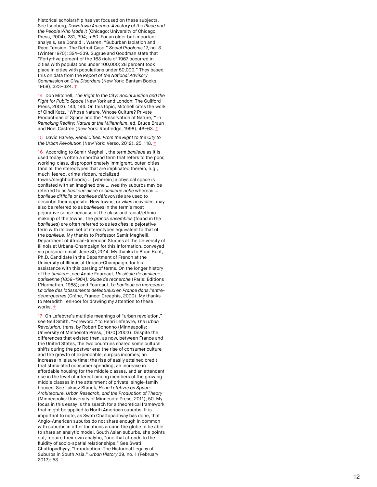historical scholarship has yet focused on these subjects. See Isenberg, Downtown America: A History of the Place and the People Who Made It (Chicago: University of Chicago Press, 2004), 231, 394; n.60. For an older but important analysis, see Donald I. Warren, "Suburban Isolation and Race Tension: The Detroit Case," Social Problems 17, no. 3 (Winter 1970): 324–339. Sugrue and Goodman state that "Forty-five percent of the 163 riots of 1967 occurred in cities with populations under 100,000; 28 percent took place in cities with populations under 50,000." They based this on data from the Report of the National Advisory Commission on Civil Disorders (New York: Bantam Books, 1968), 323–324. [↑](#page-3-4)

<span id="page-11-0"></span>14 Don Mitchell, The Right to the City: Social Justice and the Fight for Public Space (New York and London: The Guilford Press, 2003), 143, 144. On this topic, Mitchell cites the work of Cindi Katz, "Whose Nature, Whose Culture? Private Productions of Space and the 'Preservation of Nature,'" in Remaking Reality: Nature at the Millennium, ed. Bruce Braun and Noel Castree (New York: Routledge, 1998), 46-63. 1

<span id="page-11-1"></span>15 David Harvey, Rebel Cities: From the Right to the City to the Urban Revolution (New York: Verso, 2012), 25, 118.  $\uparrow$ 

<span id="page-11-2"></span>16 According to Samir Meghelli, the term banlieue as it is used today is often a shorthand term that refers to the poor, working-class, disproportionately immigrant, outer-cities (and all the stereotypes that are implicated therein, e.g., much-feared, crime-ridden, racialized towns/neighborhoods) … [wherein] a physical space is conflated with an imagined one … wealthy suburbs may be referred to as banlieue aiseé or banlieue riche whereas … banlieue difficile or banlieue défavorisée are used to describe their opposite. New towns, or villes nouvelles, may also be referred to as banlieues in the term's most pejorative sense because of the class and racial/ethnic makeup of the towns. The grands ensembles (found in the banlieues) are often referred to as les cites, a pejorative term with its own set of stereotypes equivalent to that of the banlieue. My thanks to Professor Samir Meghelli, Department of African-American Studies at the University of Illinois at Urbana-Champaign for this information, conveyed via personal email, June 30, 2014. My thanks to Brian Hunt, Ph.D. Candidate in the Department of French at the University of Illinois at Urbana-Champaign, for his assistance with this parsing of terms. On the longer history of the banlieue, see Annie Fourcaut, Un siècle de banlieue parisienne (1859–1964): Guide de recherche (Paris: Éditions L'Harmattan, 1988); and Fourcaut, La banlieue en morceaux: La crise des lotissements défectueux en France dans l'entredeux-guerres (Grâne, France: Creaphis, 2000). My thanks to Meredith TenHoor for drawing my attention to these works. [↑](#page-4-1)

<span id="page-11-3"></span>17 On Lefebvre's multiple meanings of "urban revolution," see Neil Smith, "Foreword," to Henri Lefebvre, The Urban Revolution, trans. by Robert Bononno (Minneapolis: University of Minnesota Press, [1970] 2003). Despite the differences that existed then, as now, between France and the United States, the two countries shared some cultural shifts during the postwar era: the rise of consumer culture and the growth of expendable, surplus incomes; an increase in leisure time; the rise of easily attained credit that stimulated consumer spending; an increase in affordable housing for the middle classes, and an attendant rise in the level of interest among members of the growing middle classes in the attainment of private, single-family houses. See Lukasz Stanek, Henri Lefebvre on Space: Architecture, Urban Research, and the Production of Theory (Minneapolis: University of Minnesota Press, 2011), 50. My focus in this essay is the search for a theoretical framework that might be applied to North American suburbs. It is important to note, as Swati Chattopadhyay has done, that Anglo-American suburbs do not share enough in common with suburbs in other locations around the globe to be able to share an analytic model. South Asian suburbs, she points out, require their own analytic, "one that attends to the fluidity of socio-spatial relationships." See Swati Chattopadhyay, "Introduction: The Historical Legacy of Suburbs in South Asia," Urban History 39, no. 1 (February 2012): 53. <u>[↑](#page-4-2)</u>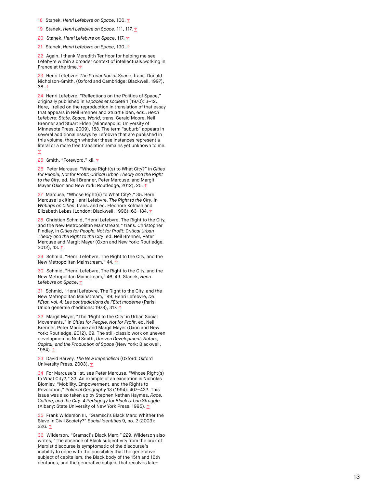- <span id="page-12-0"></span>18 Stanek, Henri Lefebvre on Space, 106. [↑](#page-5-0)
- <span id="page-12-1"></span>19 Stanek, Henri Lefebvre on Space, 111, 117. [↑](#page-5-1)
- <span id="page-12-2"></span>20 Stanek, Henri Lefebvre on Space, 117. [↑](#page-5-2)
- <span id="page-12-3"></span>21 Stanek, Henri Lefebvre on Space, 190. [↑](#page-5-3)

<span id="page-12-4"></span>22 Again, I thank Meredith TenHoor for helping me see Lefebvre within a broader context of intellectuals working in France at the time. [↑](#page-5-4)

<span id="page-12-5"></span>23 Henri Lefebvre, The Production of Space, trans. Donald Nicholson-Smith, (Oxford and Cambridge: Blackwell, 1997), 38. [↑](#page-5-5)

<span id="page-12-6"></span>24 Henri Lefebvre, "Reflections on the Politics of Space," originally published in Espaces et société 1 (1970): 3–12. Here, I relied on the reproduction in translation of that essay that appears in Neil Brenner and Stuart Elden, eds., Henri Lefebvre: State, Space, World, trans. Gerald Moore, Neil Brenner and Stuart Elden (Minneapolis: University of Minnesota Press, 2009), 183. The term "suburb" appears in several additional essays by Lefebvre that are published in this volume, though whether these instances represent a literal or a more free translation remains yet unknown to me. [↑](#page-5-6)

<span id="page-12-7"></span>25 Smith, "Foreword," xii. [↑](#page-6-0)

<span id="page-12-8"></span>26 Peter Marcuse, "Whose Right(s) to What City?" in Cities for People, Not for Profit: Critical Urban Theory and the Right to the City, ed. Neil Brenner, Peter Marcuse, and Margit Mayer (Oxon and New York: Routledge, 2012), 25. [↑](#page-6-1)

<span id="page-12-9"></span>27 Marcuse, "Whose Right(s) to What City?," 35. Here Marcuse is citing Henri Lefebvre, The Right to the City, in Writings on Cities, trans. and ed. Eleonore Kofman and Elizabeth Lebas (London: Blackwell, 1996), 63–184. [↑](#page-6-2)

<span id="page-12-10"></span>28 Christian Schmid, "Henri Lefebvre, The Right to the City, and the New Metropolitan Mainstream," trans. Christopher Findlay, in Cities for People, Not for Profit: Critical Urban Theory and the Right to the City, ed. Neil Brenner, Peter Marcuse and Margit Mayer (Oxon and New York: Routledge, 2012), 43. <u>[↑](#page-6-3)</u>

<span id="page-12-11"></span>29 Schmid, "Henri Lefebvre, The Right to the City, and the New Metropolitan Mainstream," 44. 1

<span id="page-12-12"></span>30 Schmid, "Henri Lefebvre, The Right to the City, and the New Metropolitan Mainstream," 46, 49; Stanek, Henri Lefebvre on Space. [↑](#page-7-1)

<span id="page-12-13"></span>31 Schmid, "Henri Lefebvre, The Right to the City, and the New Metropolitan Mainstream," 49; Henri Lefebvre, De l'État, vol. 4: Les contradictions de l'État moderne (Paris: Union générale d'éditions: 1978), 317. 1

<span id="page-12-14"></span>32 Margit Mayer, "The 'Right to the City' in Urban Social Movements," in Cities for People, Not for Profit, ed. Neil Brenner, Peter Marcuse and Margit Mayer (Oxon and New York: Routledge, 2012), 69. The still-classic work on uneven development is Neil Smith, Uneven Development: Nature, Capital, and the Production of Space (New York: Blackwell, 1984). [↑](#page-7-3)

<span id="page-12-15"></span>33 David Harvey, The New Imperialism (Oxford: Oxford University Press, 2003). [↑](#page-7-4)

<span id="page-12-16"></span>34 For Marcuse's list, see Peter Marcuse, "Whose Right(s) to What City?," 33. An example of an exception is Nicholas Blomley, "Mobility, Empowerment, and the Rights to Revolution," Political Geography 13 (1994): 407–422. This issue was also taken up by Stephen Nathan Haymes, Race, Culture, and the City: A Pedagogy for Black Urban Struggle (Albany: State University of New York Press, 1995). 1

<span id="page-12-17"></span>35 Frank Wilderson III, "Gramsci's Black Marx: Whither the Slave In Civil Society?" Social Identities 9, no. 2 (2003): 226. [↑](#page-8-1)

<span id="page-12-18"></span>36 Wilderson, "Gramsci's Black Marx," 229. Wilderson also writes, "The absence of Black subjectivity from the crux of Marxist discourse is symptomatic of the discourse's inability to cope with the possibility that the generative subject of capitalism, the Black body of the 15th and 16th centuries, and the generative subject that resolves late